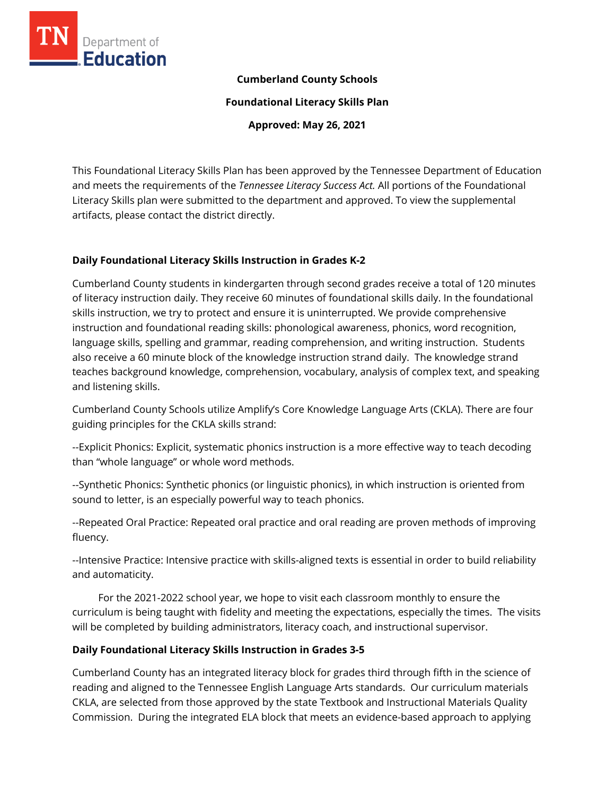

## **Cumberland County Schools**

**Foundational Literacy Skills Plan**

**Approved: May 26, 2021**

This Foundational Literacy Skills Plan has been approved by the Tennessee Department of Education and meets the requirements of the *Tennessee Literacy Success Act.* All portions of the Foundational Literacy Skills plan were submitted to the department and approved. To view the supplemental artifacts, please contact the district directly.

## **Daily Foundational Literacy Skills Instruction in Grades K-2**

Cumberland County students in kindergarten through second grades receive a total of 120 minutes of literacy instruction daily. They receive 60 minutes of foundational skills daily. In the foundational skills instruction, we try to protect and ensure it is uninterrupted. We provide comprehensive instruction and foundational reading skills: phonological awareness, phonics, word recognition, language skills, spelling and grammar, reading comprehension, and writing instruction. Students also receive a 60 minute block of the knowledge instruction strand daily. The knowledge strand teaches background knowledge, comprehension, vocabulary, analysis of complex text, and speaking and listening skills.

Cumberland County Schools utilize Amplify's Core Knowledge Language Arts (CKLA). There are four guiding principles for the CKLA skills strand:

--Explicit Phonics: Explicit, systematic phonics instruction is a more effective way to teach decoding than "whole language" or whole word methods.

--Synthetic Phonics: Synthetic phonics (or linguistic phonics), in which instruction is oriented from sound to letter, is an especially powerful way to teach phonics.

--Repeated Oral Practice: Repeated oral practice and oral reading are proven methods of improving fluency.

--Intensive Practice: Intensive practice with skills-aligned texts is essential in order to build reliability and automaticity.

 For the 2021-2022 school year, we hope to visit each classroom monthly to ensure the curriculum is being taught with fidelity and meeting the expectations, especially the times. The visits will be completed by building administrators, literacy coach, and instructional supervisor.

## **Daily Foundational Literacy Skills Instruction in Grades 3-5**

Cumberland County has an integrated literacy block for grades third through fifth in the science of reading and aligned to the Tennessee English Language Arts standards. Our curriculum materials CKLA, are selected from those approved by the state Textbook and Instructional Materials Quality Commission. During the integrated ELA block that meets an evidence-based approach to applying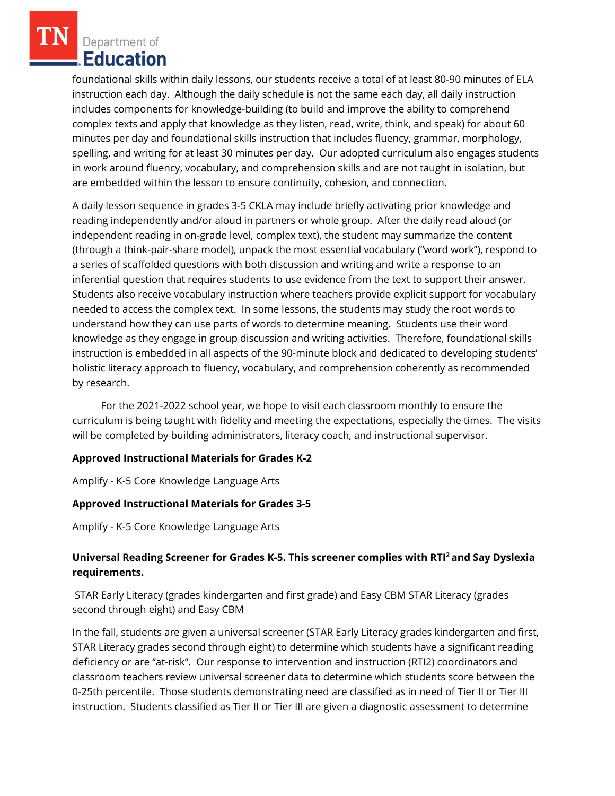foundational skills within daily lessons, our students receive a total of at least 80-90 minutes of ELA instruction each day. Although the daily schedule is not the same each day, all daily instruction includes components for knowledge-building (to build and improve the ability to comprehend complex texts and apply that knowledge as they listen, read, write, think, and speak) for about 60 minutes per day and foundational skills instruction that includes fluency, grammar, morphology, spelling, and writing for at least 30 minutes per day. Our adopted curriculum also engages students in work around fluency, vocabulary, and comprehension skills and are not taught in isolation, but are embedded within the lesson to ensure continuity, cohesion, and connection.

A daily lesson sequence in grades 3-5 CKLA may include briefly activating prior knowledge and reading independently and/or aloud in partners or whole group. After the daily read aloud (or independent reading in on-grade level, complex text), the student may summarize the content (through a think-pair-share model), unpack the most essential vocabulary ("word work"), respond to a series of scaffolded questions with both discussion and writing and write a response to an inferential question that requires students to use evidence from the text to support their answer. Students also receive vocabulary instruction where teachers provide explicit support for vocabulary needed to access the complex text. In some lessons, the students may study the root words to understand how they can use parts of words to determine meaning. Students use their word knowledge as they engage in group discussion and writing activities. Therefore, foundational skills instruction is embedded in all aspects of the 90-minute block and dedicated to developing students' holistic literacy approach to fluency, vocabulary, and comprehension coherently as recommended by research.

 For the 2021-2022 school year, we hope to visit each classroom monthly to ensure the curriculum is being taught with fidelity and meeting the expectations, especially the times. The visits will be completed by building administrators, literacy coach, and instructional supervisor.

# **Approved Instructional Materials for Grades K-2**

Amplify - K-5 Core Knowledge Language Arts

## **Approved Instructional Materials for Grades 3-5**

Amplify - K-5 Core Knowledge Language Arts

# **Universal Reading Screener for Grades K-5. This screener complies with RTI<sup>2</sup>and Say Dyslexia requirements.**

STAR Early Literacy (grades kindergarten and first grade) and Easy CBM STAR Literacy (grades second through eight) and Easy CBM

In the fall, students are given a universal screener (STAR Early Literacy grades kindergarten and first, STAR Literacy grades second through eight) to determine which students have a significant reading deficiency or are "at-risk". Our response to intervention and instruction (RTI2) coordinators and classroom teachers review universal screener data to determine which students score between the 0-25th percentile. Those students demonstrating need are classified as in need of Tier II or Tier III instruction. Students classified as Tier II or Tier III are given a diagnostic assessment to determine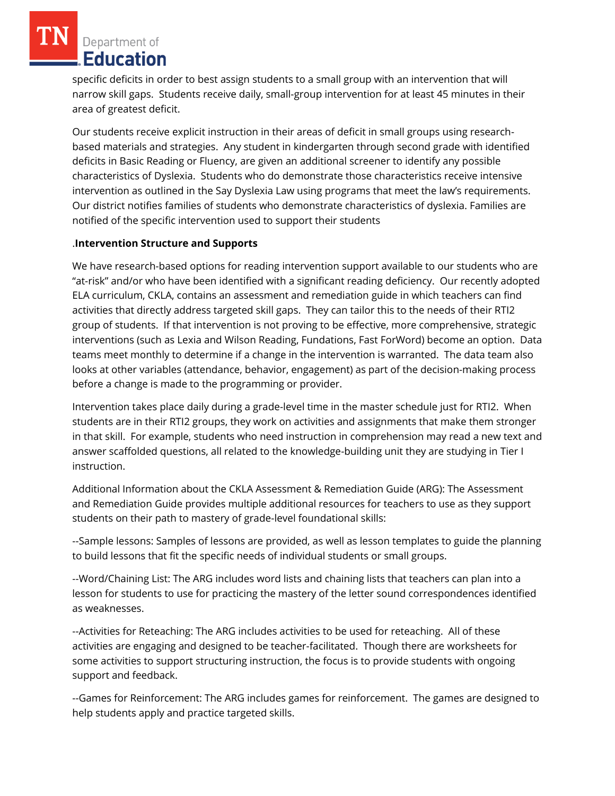specific deficits in order to best assign students to a small group with an intervention that will narrow skill gaps. Students receive daily, small-group intervention for at least 45 minutes in their area of greatest deficit.

Our students receive explicit instruction in their areas of deficit in small groups using researchbased materials and strategies. Any student in kindergarten through second grade with identified deficits in Basic Reading or Fluency, are given an additional screener to identify any possible characteristics of Dyslexia. Students who do demonstrate those characteristics receive intensive intervention as outlined in the Say Dyslexia Law using programs that meet the law's requirements. Our district notifies families of students who demonstrate characteristics of dyslexia. Families are notified of the specific intervention used to support their students

## .**Intervention Structure and Supports**

We have research-based options for reading intervention support available to our students who are "at-risk" and/or who have been identified with a significant reading deficiency. Our recently adopted ELA curriculum, CKLA, contains an assessment and remediation guide in which teachers can find activities that directly address targeted skill gaps. They can tailor this to the needs of their RTI2 group of students. If that intervention is not proving to be effective, more comprehensive, strategic interventions (such as Lexia and Wilson Reading, Fundations, Fast ForWord) become an option. Data teams meet monthly to determine if a change in the intervention is warranted. The data team also looks at other variables (attendance, behavior, engagement) as part of the decision-making process before a change is made to the programming or provider.

Intervention takes place daily during a grade-level time in the master schedule just for RTI2. When students are in their RTI2 groups, they work on activities and assignments that make them stronger in that skill. For example, students who need instruction in comprehension may read a new text and answer scaffolded questions, all related to the knowledge-building unit they are studying in Tier I instruction.

Additional Information about the CKLA Assessment & Remediation Guide (ARG): The Assessment and Remediation Guide provides multiple additional resources for teachers to use as they support students on their path to mastery of grade-level foundational skills:

--Sample lessons: Samples of lessons are provided, as well as lesson templates to guide the planning to build lessons that fit the specific needs of individual students or small groups.

--Word/Chaining List: The ARG includes word lists and chaining lists that teachers can plan into a lesson for students to use for practicing the mastery of the letter sound correspondences identified as weaknesses.

--Activities for Reteaching: The ARG includes activities to be used for reteaching. All of these activities are engaging and designed to be teacher-facilitated. Though there are worksheets for some activities to support structuring instruction, the focus is to provide students with ongoing support and feedback.

--Games for Reinforcement: The ARG includes games for reinforcement. The games are designed to help students apply and practice targeted skills.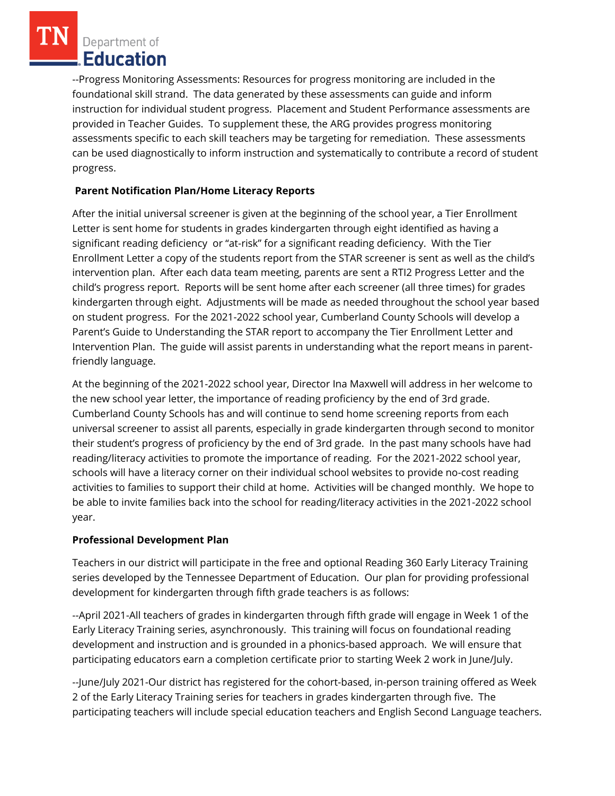--Progress Monitoring Assessments: Resources for progress monitoring are included in the foundational skill strand. The data generated by these assessments can guide and inform instruction for individual student progress. Placement and Student Performance assessments are provided in Teacher Guides. To supplement these, the ARG provides progress monitoring assessments specific to each skill teachers may be targeting for remediation. These assessments can be used diagnostically to inform instruction and systematically to contribute a record of student progress.

# **Parent Notification Plan/Home Literacy Reports**

After the initial universal screener is given at the beginning of the school year, a Tier Enrollment Letter is sent home for students in grades kindergarten through eight identified as having a significant reading deficiency or "at-risk" for a significant reading deficiency. With the Tier Enrollment Letter a copy of the students report from the STAR screener is sent as well as the child's intervention plan. After each data team meeting, parents are sent a RTI2 Progress Letter and the child's progress report. Reports will be sent home after each screener (all three times) for grades kindergarten through eight. Adjustments will be made as needed throughout the school year based on student progress. For the 2021-2022 school year, Cumberland County Schools will develop a Parent's Guide to Understanding the STAR report to accompany the Tier Enrollment Letter and Intervention Plan. The guide will assist parents in understanding what the report means in parentfriendly language.

At the beginning of the 2021-2022 school year, Director Ina Maxwell will address in her welcome to the new school year letter, the importance of reading proficiency by the end of 3rd grade. Cumberland County Schools has and will continue to send home screening reports from each universal screener to assist all parents, especially in grade kindergarten through second to monitor their student's progress of proficiency by the end of 3rd grade. In the past many schools have had reading/literacy activities to promote the importance of reading. For the 2021-2022 school year, schools will have a literacy corner on their individual school websites to provide no-cost reading activities to families to support their child at home. Activities will be changed monthly. We hope to be able to invite families back into the school for reading/literacy activities in the 2021-2022 school year.

# **Professional Development Plan**

Teachers in our district will participate in the free and optional Reading 360 Early Literacy Training series developed by the Tennessee Department of Education. Our plan for providing professional development for kindergarten through fifth grade teachers is as follows:

--April 2021-All teachers of grades in kindergarten through fifth grade will engage in Week 1 of the Early Literacy Training series, asynchronously. This training will focus on foundational reading development and instruction and is grounded in a phonics-based approach. We will ensure that participating educators earn a completion certificate prior to starting Week 2 work in June/July.

--June/July 2021-Our district has registered for the cohort-based, in-person training offered as Week 2 of the Early Literacy Training series for teachers in grades kindergarten through five. The participating teachers will include special education teachers and English Second Language teachers.